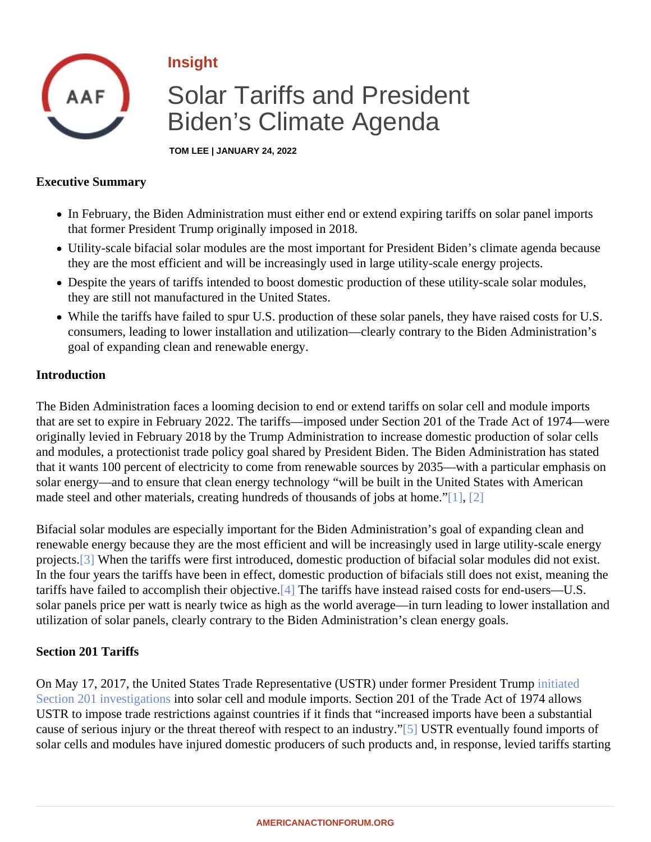## <span id="page-0-0"></span>Insight

# Solar Tariffs and President Biden's Climate Agenda

TOM LEE | JANUARY 24, 2022

### Executive Summary

- In February, the Biden Administration must either end or extend expiring tariffs on solar panel imports that former President Trump originally imposed in 2018.
- Utility-scale bifacial solar modules are the most important for President Biden's climate agenda because they are the most efficient and will be increasingly used in large utility-scale energy projects.
- Despite the years of tariffs intended to boost domestic production of these utility-scale solar modules, they are still not manufactured in the United States.
- While the tariffs have failed to spur U.S. production of these solar panels, they have raised costs for U.S. consumers, leading to lower installation and utilization—clearly contrary to the Biden Administration's goal of expanding clean and renewable energy.

### Introduction

The Biden Administration faces a looming decision to end or extend tariffs on solar cell and module imports that are set to expire in February 2022. The tariffs—imposed under Section 201 of the Trade Act of 1974—we originally levied in February 2018 by the Trump Administration to increase domestic production of solar cells and modules, a protectionist trade policy goal shared by President Biden. The Biden Administration has state that it wants 100 percent of electricity to come from renewable sources by 2035—with a particular emphasis on solar energy—and to ensure that clean energy technology "will be built in the United States with American made steel and other materials, creating hundreds of thousands of jobs [at home](#page-2-0)."

Bifacial solar modules are especially important for the Biden Administration's goal of expanding clean and renewable energy because they are the most efficient and will be increasingly used in large utility-scale energ projects<sup>[3]</sup> When the tariffs were first introduced, domestic production of bifacial solar modules did not exist. In the four years the tariffs have been in effect, domestic production of bifacials still does not exist, meaning the tariffs have failed to accomplish their object  $\Psi$ . The tariffs have instead raised costs for end-users—U.S. solar panels price per watt is nearly twice as high as the world average—in turn leading to lower installation a utilization of solar panels, clearly contrary to the Biden Administration's clean energy goals.

### Section 201 Tariffs

On May 17, 2017, the United States Trade Representative (USTR) under former Presidemt Tratiato [Section 201 investigation](�� h t t p s : / / w w w . a m e r i c a n a c t i o n f o r u m . o r g / r e s e a r c h / t h e - i m p a c t - o f - t a r i f f s - o n - u t i l i t y - s c a l e - s o l a r / # _ f t n 1)stosolar cell and module imports. Section 201 of the Trade Act of 1974 allows USTR to impose trade restrictions against countries if it finds that "increased imports have been a substantial cause of serious injury or the threat thereof with respect to an ind[fsttySTR eventually found imports of solar cells and modules have injured domestic producers of such products and, in response, levied tariffs star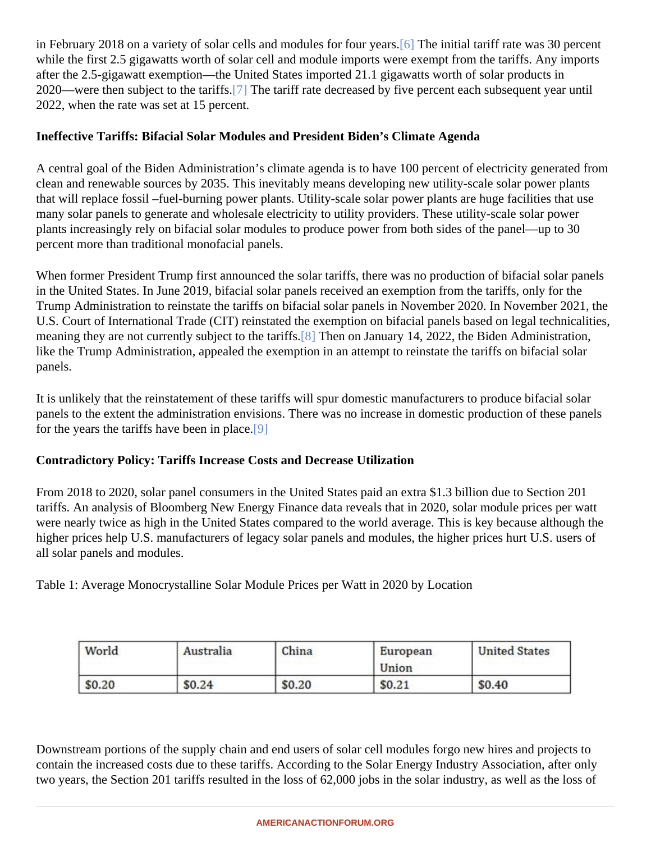<span id="page-1-0"></span>in February 2018 on a variety of solar cells and modules for four **Gearge** initial tariff rate was 30 percent while the first 2.5 gigawatts worth of solar cell and module imports were exempt from the tariffs. Any imports after the 2.5-gigawatt exemption—the United States imported 21.1 gigawatts worth of solar products in 2020—were then subject to the tar[iffs.](#page-2-0) The tariff rate decreased by five percent each subsequent year until 2022, when the rate was set at 15 percent.

Ineffective Tariffs: Bifacial Solar Modules and President Biden's Climate Agenda

A central goal of the Biden Administration's climate agenda is to have 100 percent of electricity generated from clean and renewable sources by 2035. This inevitably means developing new utility-scale solar power plants that will replace fossil –fuel-burning power plants. Utility-scale solar power plants are huge facilities that use many solar panels to generate and wholesale electricity to utility providers. These utility-scale solar power plants increasingly rely on bifacial solar modules to produce power from both sides of the panel—up to 30 percent more than traditional monofacial panels.

When former President Trump first announced the solar tariffs, there was no production of bifacial solar pane in the United States. In June 2019, bifacial solar panels received an exemption from the tariffs, only for the Trump Administration to reinstate the tariffs on bifacial solar panels in November 2020. In November 2021, th U.S. Court of International Trade (CIT) reinstated the exemption on bifacial panels based on legal technicalition meaning they are not currently subject to the tare state on January 14, 2022, the Biden Administration, like the Trump Administration, appealed the exemption in an attempt to reinstate the tariffs on bifacial solar panels.

It is unlikely that the reinstatement of these tariffs will spur domestic manufacturers to produce bifacial solar panels to the extent the administration envisions. There was no increase in domestic production of these pan for the years the tariffs have been in plade.

Contradictory Policy: Tariffs Increase Costs and Decrease Utilization

From 2018 to 2020, solar panel consumers in the United States paid an extra \$1.3 billion due to Section 201 tariffs. An analysis of Bloomberg New Energy Finance data reveals that in 2020, solar module prices per watt were nearly twice as high in the United States compared to the world average. This is key because although the higher prices help U.S. manufacturers of legacy solar panels and modules, the higher prices hurt U.S. users of all solar panels and modules.

Table 1: Average Monocrystalline Solar Module Prices per Watt in 2020 by Location

Downstream portions of the supply chain and end users of solar cell modules forgo new hires and projects to contain the increased costs due to these tariffs. According to the Solar Energy Industry Association, after only two years, the Section 201 tariffs resulted in the loss of 62,000 jobs in the solar industry, as well as the loss of